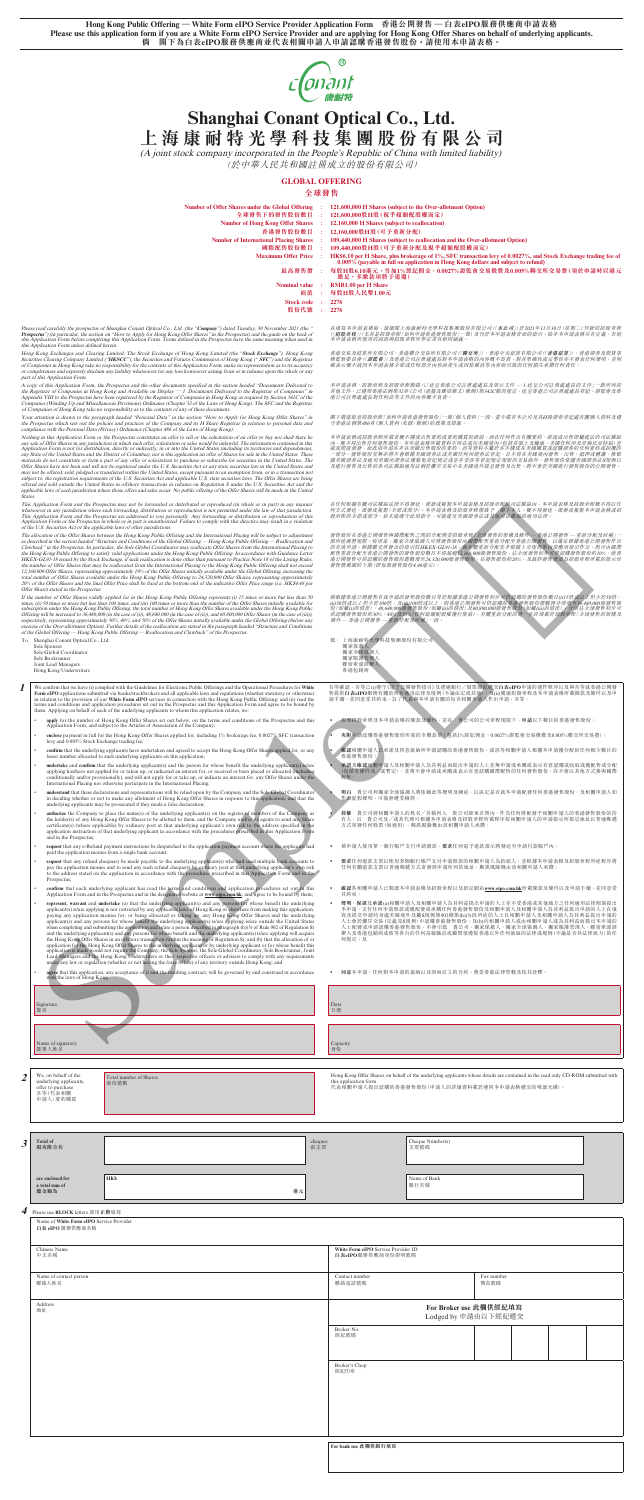**Hong Kong Public Offering — White Form eIPO Service Provider Application Form 香港公開發售 — 白表eIPO服務供應商申請表格** Please use this application form if you are a White Form eIPO Service Provider and are applying for Hong Kong Offer Shares on behalf of underlying applicants.<br>简 闇下為白表eIPO服務供應商並代表相關申請人申請認購香港發售股份,請使用本申請表格。 **倘 閣下為白表eIPO服務供應商並代表相關申請人申請認購香港發售股份,請使用本申請表格。**



| <b>Number of Offer Shares under the Global Offering</b>                                                                                                                              | 121,600,000 H Shares (subject to the Over-allotment Option)                                                                                                                                             |
|--------------------------------------------------------------------------------------------------------------------------------------------------------------------------------------|---------------------------------------------------------------------------------------------------------------------------------------------------------------------------------------------------------|
| 全球發售下的發售股份數目                                                                                                                                                                         | 121,600,000股H股(視乎超額配股權而定)                                                                                                                                                                               |
| <b>Number of Hong Kong Offer Shares</b>                                                                                                                                              | 12,160,000 H Shares (subject to reallocation)                                                                                                                                                           |
| 香港發售股份數目                                                                                                                                                                             | 12,160,000股H股(可予重新分配)                                                                                                                                                                                   |
| <b>Number of International Placing Shares</b>                                                                                                                                        | 109,440,000 H Shares (subject to reallocation and the Over-allotment Option)                                                                                                                            |
| 國際配售股份數目                                                                                                                                                                             | 109,440,000股H股(可予重新分配及視乎超額配股權而定)                                                                                                                                                                        |
| <b>Maximum Offer Price</b>                                                                                                                                                           | HK\$6.10 per H Share, plus brokerage of 1%, SFC transaction levy of 0.0027%, and Stock Exchange trading fee of<br>$0.005\%$ (payable in full on application in Hong Kong dollars and subject to refund) |
| 最高發售價                                                                                                                                                                                | 每股H股6.10港元,另加1%經紀佣金、0.0027%證監會交易徵費及0.005%聯交所交易費(須於申請時以港元<br>繳足,多繳款項將予退還)                                                                                                                                |
| <b>Nominal value</b>                                                                                                                                                                 | <b>RMB1.00 per H Share</b>                                                                                                                                                                              |
| 面值                                                                                                                                                                                   | 每股日股人民幣1.00元                                                                                                                                                                                            |
| <b>Stock code</b>                                                                                                                                                                    | 2276                                                                                                                                                                                                    |
| 股份代號                                                                                                                                                                                 | 2276                                                                                                                                                                                                    |
| (the "Company") dated Tuesday, 30 November 2021 (the "<br>Iffer Shares" in the Prospectus) and the guide on the back of<br>ined in the Prospectus have the same meaning when used in | 在填寫本申請表格前,請細閱上海康耐特光學科技集團股份有限公司(「本公司」)於2021年11月30日(星期二)刊發的招股章程<br>(「招股章程」)(尤其是招股章程「如何申請香港發售股份」一節)及刊於本申請表格背面的指引。除非本申請表格另有定義,否則<br>本申請表格所使用的詞語與招股章程所界定者具相同涵義。                                              |

香港交易及結算所有限公司(**研究所**)、香港中央結算有限公司(**香港結算**)、香港證券及期貨事<br>務監察委員會(「證監會」)及香港公司註冊處處長對本申請表格的內容概不負責,對其準確性或完整性亦不發表任何聲明,並明<br>確表示概不就因本申請表格全部或任何部分內容而產生或因依賴該等內容而引致的任何損失承擔任何責任。

本申請表格、招股章程長及經程所錄入(送呈香港公司註冊處處長及展示文件 — 1.送呈公司註冊處處長的文件」—節所列的<br>其他文件,已遵照香港法例第32章《公司(清盤及雜項條文)條例》第342C條的規定,送呈香港公司註冊處處長的文件」—節所列的<br>港公司註冊處處長對任何此等文件的內容概不負責。

閣下敬請留意招股章程「如何申請香港發售股份」一節「個人資料」一段,當中載有本公司及其H股證券登記處有關個人資料及遵<br>守香港法例第486章《個人資料 (私隱) 條例》的政策及措施。

本甲請表格或招股章提所載者概不構成出售要約或要約購買的辭説,而在任何作出有關要約、游混或出售即屬建法的可法權區及內方、有人有限的要求所以提供精神的要求的要求。有人有限力量的。或者提供的需要的可能權固定的可能權固直接的。<br>技或問接派發,而此項申請亦非在美國出售股份的要約。該等資料不屬於亦不構成在美國購買或認購證券的任何要約或招攬的<br>據式國際券法及適用美國州證券法費金金能視定或並非受該等發話規定規限的交易除外。發售股份依據美國證券法S規例以<br>

在任何根據有關司法權區法律不得發送、派發或複製本申請表格及招股章程向司法權區內,本申請表格及招股章程概不得以任<br>何方式發送、派發或複製(全部或部分)。本申請表格及招股章程致予 閣下本人。概不得發送、派發或複製本申請表格或拓<br>股章程的全部或部分。如未能遵守此項指令,可能違反美國證券法或其他司法權區的適用法律。

# **Shanghai Conant Optical Co., Ltd. 上海康耐特光學科技集團股份有限公司**

(A joint stock company incorporated in the People's Republic of China with limited liability)

(於中華人民共和國註冊成立的股份有限公司)

# **GLOBAL OFFERING**

## **全球發售**

發性股份在香港公開發售與國際配售之間的分配將受招股章程[全球發售的業種及條件— 香港公開發售— 重新分配及回相)一般有限公開、公開發生的規定的公司的一般的公司的公司的研究所提供。<br>前所述調整規限。根據聯交所發出的指引信HKEK-GL91-18,商有關重新分配定香港公開發售力以滿足根據香港公開發售作出<br>配督室新分配至香港公開發售的發售股份數自不得超過12,160,000股發售股份。佔全球發售初步可供認購發售股份約10%,使考 發售價範圍的下限(即每股發售股份4.46港元)。

備根據音部公開費售有致申請的發售股份數目等於根據音港公開發售初步可供認購的發售股份數目(i)15倍或以上但少於10倍;<br>(ii)50倍或以上但少於100倍;及(iij)100倍或以上,則香港公開發售可供認購的香港發售股份總數將分別増至36.480,000股發售股<br>份(如屬(i)的情況)、48,640,000股發售股份(如屬(ii)的情況)及60,800,000股發售股份(如屬(ii)的情況),分別佔全球發售初步可<br>(核件— 香港公開發

- 
- To. Shanghai Conant Optical Co., Ltd. Sole Sponsor Sole Global Coordinator Sole Bookrunner
	- Joint Lead Managers Hong Kong Underwriters

For confirm that we have (i) complied with the Guidelines for Electronic Public Offerings and the Operational Procedures for White Form eIPO applications submitted via banks/stockbrokers and all applicable laws and regulat

致: 上海康耐特光學科技集團股份有限公司<br>獨家保薦人<br>獨家全球協調人<br>獨家賬簿管理人 聯席牽頭經辦人 香港包銷商

吾等確認,吾等已(i)遵守《電子公開發售指引》及透過銀行/股票經紀鑑交**白表eIPO**申請的運作程序以及與吾等就香港公開發<br>售提供白**表eIPO**服務有關的有適用法律及規例(不論法定或其他); 及(ii)閱讀招股章程及本申請表格所載條款及條件以及申<br>請手續,並同意受其約束。為了代表與本申請有關的每名相關申請人作出申請,吾等:

- **apply** for the number of Hong Kong Offer Shares set out below, on the terms and conditions of the Prospectus and this Application Form, and subject to the Articles of Association of the Company;
- **enclose** payment in full for the Hong Kong Offer Shares applied for, including 1% brokerage fee, 0.0027% SFC transaction levy and 0.005% Stock Exchange trading fee;
- **confirm** that the underlying applicants have undertaken and agreed to accept the Hong Kong Offer Shares applied for, or any lesser number allocated to such underlying applicants on this application;
- **undertake** and **confirm** that the underlying applicant(s) and the person for whose benefit the underlying applicant(s) is/are applying has/have not agent) in go in the conditionally and/or provisionally), and will not app
- **understand** that these declarations and representations will be relied upon by the Company and the Sole Global Coordinator<br>in deciding whether or not to make any allotment of Hong Kong Offer Shares in response to this app
- **undering the Company to place the name(s) of the underlying applicant(s) on the register of members of the Company and the holder(s) of any Share the holder(s) of any Iong Offer Shares to be allotted to them, and the Comp**
- **request** that any e-Refund payment instructions be despatched to the application payment account where the applicants had paid the application monies from a single bank account;
- request that any refund cheque(s) be made payable to the underlying applicant(s) who had used multiple bank accounts to pay the application monies and to send any such refund cheque(s) by ordinary post at that underlying a Prospectus;
- **• confirm** that each underlying applicant has read the terms and conditions and application procedures set out in this<br>Application Form and in the Prospectus and in the designated website at **www.eipo.com.hk**, and agree
- represent, warrant and undertake (a) that the underlying applicant(s) and any persons for whose benefit the underlying<br>applicant(s) is/are applying is not restricted by any applicable laws of Hong Kong or elsewhere from

- 餐盤 貴公司將相關申請人的姓名/名稱列入 貴公司股東名冊内,作為任何將配發予相關申請人的香港發售股份的持有<br>有人,且 貴公司及/或其代理可根據本申請表格及招股章程所載程序按相關申請人的申請指示所指定地址以普通郵遞<br>方式寄發任何股票(如適用),郵誤風險概由該相關申請人承擔;
- ‧ 倘申請人使用單一銀行賬戶支付申請股款,**要求**任何電子退款指示將發送至申請付款賬戶內;
- 要求任何退款支票以使用多個銀行賬戶支付申請股款的相關申請人為抬頭人,並根據本申請表格及招股章程所述程序將<br>任何有關退款支票以普通郵遞方式寄發到申請所列的地址,郵誤風險概由該相關申請人承擔;
- ‧ **確認**各相關申請人已閱讀本申請表格及招股章程以及指定網站**[www.eipo.com.hk](http://www.eipo.com.hk)**所載條款及條件以及申請手續,並同意受 其約束;
- 聲明、保證及承講(a)相關申請人及相關申請人為其利益提出申請的人士並不受香港或其他地方之任何適用法律限制提出<br>本申請、支付任何申請股款或獲配發或承購任何香港發售股份及相關申請人及相關申請人為其利益提出申請的<br>寫及提交申請時身處美國境外及屬S規例第902條第(h)(3)段所述的人士且相關申請人及相關申請人為其利益提出申請的

Please read carefully the prospectus of Shanghai Conant Optical Co., Ltd. (the "Company") dated Tuesday, 30 November 2021 (the "<br>Prospectus") (in particular, the section on "How to Apply for Hong Kong Offer Shares" in the

Hong Kong Exchanges and Clearing Limited, The Stock Exchange of Hong Kong Limited (the "Stock Exchange"), Hong Kong<br>Securities Clearing Company Limited ("HKSCC"), the Securities and Futures Commission of Hong Kong ("SFC")

A copy of this Application Form, the Prospectus and the other documents specified in the section headed "Documents Delivered to the Registrar of Companies" in Application to the Septistar of Companies" in Appendix VIII to

Your attention is drawn to the paragraph headed "Personal Data" in the section "How to Apply for Hong Kong Olfer Shares" in<br>the Prospectus which sets out the policies and practices of the Company and its H Share Registrar

Nothing in this Application Form or the Prospectius constitutes an olter to sell or the solutiation of an olter to buy nor shall three best<br>any sake of Offer Shares in any jurisdiction in which such offer, solicitation or

This Application Form and the Prospectus may not be forwarded or distributed or reproduced (in whole or in part) in any manner<br>whatsoever in any jurisdiction where such forwarding, distribution or reproduction is not permi

The allocation of the Offer Shares between the Hong Kong Public Offering and the International Placing will be subject to adjustment and Conditions of the Global Offering — Hong Kong Public Offering — Reallocation and Caw

If the number of Otler Shares validy applied for in the Hong Kong Public Olering represents (i) 15 thms (min the number of the Oler Shares in matched for the times, (ii) 50 times or more but less than 100 times, and (iii)

| 4 | underlying applicants,<br>offer to purchase<br>吾等(代表相關<br>申請人) 要約購買<br><b>Total of</b><br>現夾附合共<br>are enclosed for<br>a total sum of<br>總金額為<br>Please use <b>BLOCK</b> letters 請用正楷填寫<br>Name of White Form eIPO Service Provider<br>白表 eIPO 服務供應商名稱<br>Chinese Name<br>中文名稱 | 股份總數<br><b>HKS</b><br>港元                                                                                                                                                                                                                                                                                                                                                                                                                                                                                                                                                                                                                                                                                                                                                                                                                                                                             | cheques<br>張支票 | this application form.<br>代表相關申請人提出認購的香港發售股份(申請人的詳細資料載於連同本申請表格遞交的唯讀光碟)。<br>White Form eIPO Service Provider ID<br>白表eIPO服務供應商身份證明號碼 | Cheque Number(s)<br>支票號碼<br>Name of Bank<br>銀行名稱                                                                                                                                                                                       |  |  |
|---|--------------------------------------------------------------------------------------------------------------------------------------------------------------------------------------------------------------------------------------------------------------------------------|------------------------------------------------------------------------------------------------------------------------------------------------------------------------------------------------------------------------------------------------------------------------------------------------------------------------------------------------------------------------------------------------------------------------------------------------------------------------------------------------------------------------------------------------------------------------------------------------------------------------------------------------------------------------------------------------------------------------------------------------------------------------------------------------------------------------------------------------------------------------------------------------------|----------------|-------------------------------------------------------------------------------------------------------------------------------------|----------------------------------------------------------------------------------------------------------------------------------------------------------------------------------------------------------------------------------------|--|--|
|   |                                                                                                                                                                                                                                                                                |                                                                                                                                                                                                                                                                                                                                                                                                                                                                                                                                                                                                                                                                                                                                                                                                                                                                                                      |                |                                                                                                                                     |                                                                                                                                                                                                                                        |  |  |
|   |                                                                                                                                                                                                                                                                                |                                                                                                                                                                                                                                                                                                                                                                                                                                                                                                                                                                                                                                                                                                                                                                                                                                                                                                      |                |                                                                                                                                     |                                                                                                                                                                                                                                        |  |  |
|   |                                                                                                                                                                                                                                                                                |                                                                                                                                                                                                                                                                                                                                                                                                                                                                                                                                                                                                                                                                                                                                                                                                                                                                                                      |                |                                                                                                                                     |                                                                                                                                                                                                                                        |  |  |
|   |                                                                                                                                                                                                                                                                                |                                                                                                                                                                                                                                                                                                                                                                                                                                                                                                                                                                                                                                                                                                                                                                                                                                                                                                      |                |                                                                                                                                     |                                                                                                                                                                                                                                        |  |  |
|   |                                                                                                                                                                                                                                                                                |                                                                                                                                                                                                                                                                                                                                                                                                                                                                                                                                                                                                                                                                                                                                                                                                                                                                                                      |                |                                                                                                                                     |                                                                                                                                                                                                                                        |  |  |
|   |                                                                                                                                                                                                                                                                                |                                                                                                                                                                                                                                                                                                                                                                                                                                                                                                                                                                                                                                                                                                                                                                                                                                                                                                      |                |                                                                                                                                     |                                                                                                                                                                                                                                        |  |  |
|   |                                                                                                                                                                                                                                                                                |                                                                                                                                                                                                                                                                                                                                                                                                                                                                                                                                                                                                                                                                                                                                                                                                                                                                                                      |                |                                                                                                                                     |                                                                                                                                                                                                                                        |  |  |
|   | We, on behalf of the                                                                                                                                                                                                                                                           | Total number of Shares                                                                                                                                                                                                                                                                                                                                                                                                                                                                                                                                                                                                                                                                                                                                                                                                                                                                               |                |                                                                                                                                     | Hong Kong Offer Shares on behalf of the underlying applicants whose details are contained in the read only CD-ROM submitted with                                                                                                       |  |  |
|   | Name of signatory<br>簽署人姓名                                                                                                                                                                                                                                                     |                                                                                                                                                                                                                                                                                                                                                                                                                                                                                                                                                                                                                                                                                                                                                                                                                                                                                                      |                | Capacity<br>身份                                                                                                                      |                                                                                                                                                                                                                                        |  |  |
|   |                                                                                                                                                                                                                                                                                |                                                                                                                                                                                                                                                                                                                                                                                                                                                                                                                                                                                                                                                                                                                                                                                                                                                                                                      |                |                                                                                                                                     |                                                                                                                                                                                                                                        |  |  |
|   | Signature<br>簽名                                                                                                                                                                                                                                                                |                                                                                                                                                                                                                                                                                                                                                                                                                                                                                                                                                                                                                                                                                                                                                                                                                                                                                                      |                | Date<br>日期                                                                                                                          |                                                                                                                                                                                                                                        |  |  |
|   | with the laws of Hong Kong.                                                                                                                                                                                                                                                    | agree that this application, any acceptance of it and the resulting contract, will be governed by and construed in accordance                                                                                                                                                                                                                                                                                                                                                                                                                                                                                                                                                                                                                                                                                                                                                                        |                |                                                                                                                                     | 同意本申請、任何對本申請的接納以及因而訂立的合約,將受香港法律管轄及按其詮釋。                                                                                                                                                                                                |  |  |
|   |                                                                                                                                                                                                                                                                                | when completing and submitting the application and is/are a person described in paragraph (h)(3) of Rule 902 of Regulation S)<br>and the underlying applicant(s) and any persons for whose benefit and the underlying applicant(s) is/are applying will acquire<br>the Hong Kong Offer Shares in an offshore transaction (within the meaning of Regulation S); and (b) that the allocation of or<br>application for the Hong Kong Offer Shares to the underlying applicant or by underlying applicant or for whose benefit this<br>application is made would not require the Company, the Sole Sponsor, the Sole Global Coordinator, Sole Bookrunner, Joint<br>Lead Managers and the Hong Kong Underwriters or their respective officers or advisers to comply with any requirements<br>under any law or regulation (whether or not having the force of law) of any territory outside Hong Kong; and |                | 何規定;及                                                                                                                               | 人士配發或申請認購香港發售股份,不會引致 貴公司、獨家保薦人、獨家全球協調人、獨家賬簿管理人、聯席牽頭經<br>辦人及香港包銷商或彼等各自的任何高級職員或顧問須遵從香港以外任何地區的法律或規例(不論是否具法律效力)的任                                                                                                                          |  |  |
|   |                                                                                                                                                                                                                                                                                | represent, warrant and undertake (a) that the underlying applicant(s) and any persons for whose benefit the underlying<br>applicant(s) is/are applying is not restricted by any applicable laws of Hong Kong or elsewhere from making this application,<br>paying any application monies for, or being allocated or taking up, any Hong Kong Offer Shares and the underlying<br>applicant(s) and any persons for whose benefit the underlying applicant(s) is/are applying is/are outside the United States                                                                                                                                                                                                                                                                                                                                                                                          |                |                                                                                                                                     | 聲明、保證及承諾(a)相關申請人及相關申請人為其利益提出申請的人士並不受香港或其他地方之任何適用法律限制提出<br>本申請、支付任何申請股款或獲配發或承購任何香港發售股份及相關申請人及相關申請人為其利益提出申請的人士在填<br>寫及提交申請時身處美國境外及屬S規例第902條第(h)(3)段所述的人士且相關申請人及相關申請人為其利益提出申請的<br>人士會於離岸交易(定義見S規例)中認購香港發售股份;及(b)向相關申請人或由相關申請人或為其利益而提出本申請的 |  |  |
|   | Prospectus;                                                                                                                                                                                                                                                                    | to the address stated on the application in accordance with the procedures prescribed in this Application Form and in the<br>confirm that each underlying applicant has read the terms and conditions and application procedures set out in this<br>Application Form and in the Prospectus and in the designated website at www.eipo.com.hk, and agree to be bound by them;                                                                                                                                                                                                                                                                                                                                                                                                                                                                                                                          |                | 其約束;                                                                                                                                | 確認各相關申請人已閱讀本申請表格及招股章程以及指定網站www.eipo.com.hk所載條款及條件以及申請手續,並同意受                                                                                                                                                                           |  |  |
|   |                                                                                                                                                                                                                                                                                | paid the application monies from a single bank account;<br>request that any refund cheque(s) be made payable to the underlying applicant(s) who had used multiple bank accounts to<br>pay the application monies and to send any such refund cheque(s) by ordinary post at that underlying applicant's own risk                                                                                                                                                                                                                                                                                                                                                                                                                                                                                                                                                                                      |                | $\bullet$                                                                                                                           | <b>要求</b> 任何退款支票以使用多個銀行賬戶支付申請股款的相關申請人為抬頭人,並根據本申請表格及招股章程所述程序將<br>任何有關退款支票以普通郵遞方式寄發到申請所列的地址,郵誤風險概由該相關申請人承擔;                                                                                                                              |  |  |
|   | and in the Prospectus;                                                                                                                                                                                                                                                         | certificate(s) (where applicable) by ordinary post at that underlying applicant's own risk to the address specified in the<br>application instruction of that underlying applicant in accordance with the procedures prescribed in this Application Form<br>request that any e-Refund payment instructions be despatched to the application payment account where the applicants had                                                                                                                                                                                                                                                                                                                                                                                                                                                                                                                 |                |                                                                                                                                     | 倘申請人使用單一銀行賬戶支付申請股款,要求任何電子退款指示將發送至申請付款賬戶內;                                                                                                                                                                                              |  |  |
|   |                                                                                                                                                                                                                                                                                | underlying applicants may be prosecuted if they made a false declaration;<br><b>authorize</b> the Company to place the name(s) of the underlying applicant(s) on the register of members of the Company as<br>the holder(s) of any Hong Kong Offer Shares to be allotted to them, and the Company and/or its agents to send any Share                                                                                                                                                                                                                                                                                                                                                                                                                                                                                                                                                                |                |                                                                                                                                     | 授權 貴公司將相關申請人的姓名/名稱列入 貴公司股東名冊內,作為任何將配發予相關申請人的香港發售股份的持<br>有人,且 貴公司及/或其代理可根據本申請表格及招股章程所載程序按相關申請人的申請指示所指定地址以普通郵遞<br>方式寄發任何股票(如適用),郵誤風險概由該相關申請人承擔;                                                                                          |  |  |
|   |                                                                                                                                                                                                                                                                                | conditionally and/or provisionally), and will not apply for or take up, or indicate an interest for, any Offer Shares under the<br>International Placing nor otherwise participate in the International Placing;<br>understand that these declarations and representations will be relied upon by the Company and the Sole Global Coordinator<br>in deciding whether or not to make any allotment of Hong Kong Offer Shares in response to this application, and that the                                                                                                                                                                                                                                                                                                                                                                                                                            |                | 配售;<br>作,借虚假聲明,可能會遭受檢控;                                                                                                             | 明白 貴公司和獨家全球協調人將依賴此等聲明及陳述,以決定是否就本申請配發任何香港發售股份,及相關申請人如                                                                                                                                                                                   |  |  |
|   |                                                                                                                                                                                                                                                                                | lesser number allocated to such underlying applicants on this application;<br>undertake and confirm that the underlying applicant(s) and the person for whose benefit the underlying applicant(s) is/are<br>applying has/have not applied for or taken up, or indicated an interest for, or received or been placed or allocated (including                                                                                                                                                                                                                                                                                                                                                                                                                                                                                                                                                          |                | 香港發售股份;                                                                                                                             | 承諾及確認相關电請人及相關申請人為其利益而提出申請的人士並無申請或承購或表示有意認購或收取或獲配售或分配<br>(包括有條件及/或暫定),並將不會申請或承購或表示有意認購國際配售的任何發售股份,亦不會以其他方式參與國際                                                                                                                          |  |  |
|   | levy and 0.005% Stock Exchange trading fee;                                                                                                                                                                                                                                    | confirm that the underlying applicants have undertaken and agreed to accept the Hong Kong Offer Shares applied for, or any                                                                                                                                                                                                                                                                                                                                                                                                                                                                                                                                                                                                                                                                                                                                                                           |                |                                                                                                                                     | <b>霾認相關申請人已</b> 承諾及同意接納所申請認購的香港發售股份,或該等相關申請人根據本申請獲分配的任何較少數目的                                                                                                                                                                           |  |  |
|   |                                                                                                                                                                                                                                                                                | apply for the number of Hong Kong Offer Shares set out below, on the terms and conditions of the Prospectus and this<br>Application Form, and subject to the Articles of Association of the Company;<br>enclose payment in full for the Hong Kong Offer Shares applied for, including 1% brokerage fee, 0.0027% SFC transaction                                                                                                                                                                                                                                                                                                                                                                                                                                                                                                                                                                      |                |                                                                                                                                     | 4续照  超章程及本申請表格的條款及條件,並在 貴公司的公司章程規限下,申請以下數目的香港發售股份;<br>夾附連請認購香港發售股份所需的全數款項(包括1%經紀佣金、0.0027%證監會交易徵費及0.005%聯交所交易費);                                                                                                                       |  |  |

**For bank use 此欄供銀行填寫**